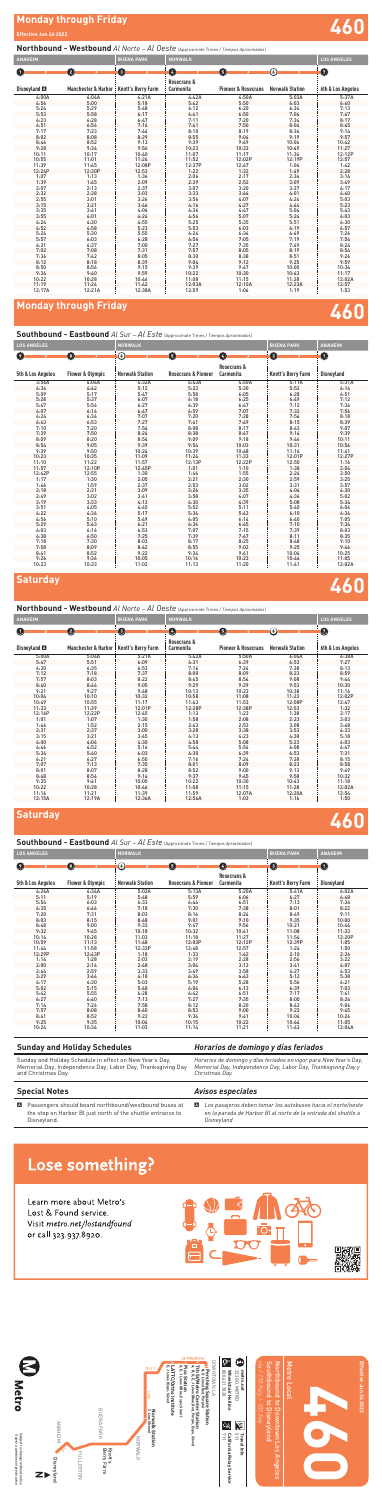

# Metro Local Metro Local

Effective Jun 26 2022 **Effective Jun 26 2022**

| DOWNTOWN LA<br>7th St/Metro Center Station<br><b>Dershing Square Station</b><br>B, DLines (Red, Purple)<br>A, B, D, E, J Lines (Blue, Red, Purple, Expos) | C 800.621.7828<br>323.GO.METRO<br>metro.net<br>Wheelchair Hotline                                     |
|-----------------------------------------------------------------------------------------------------------------------------------------------------------|-------------------------------------------------------------------------------------------------------|
|                                                                                                                                                           |                                                                                                       |
|                                                                                                                                                           | $\sum_{511}$ Travel Info<br>$\begin{matrix} 112 \\ 20 \\ 30 \end{matrix}$<br>California Relay Service |



*Sujeto a cambios sin previo aviso* Subject to change without notice

Subject to change without notice<br>*Sujeto a cambios sin previo aviso* 

Metro





*via I-110 Fwy, I-105 Fwy* Southbound to Disneyland Northbound to Downtown Los Angeles Southbound to Disneyland Northbound to Downtown Los Angeles 10 HW, 1-105 HW

# **Monday through Friday 460**

### **Northbound - Westbound** *Al Norte* – *Al Oeste* (Approximate Times / *Tiempos Aproximados*)

### **Southbound - Eastbound** *Al Sur* – *Al Este* (Approximate Times / *Tiempos Aproximados*)

| <b>ANAHEIM</b>       |                                 | <b>BUENA PARK</b>     | <b>NORWALK</b>           |                                |                        | <b>LOS ANGELES</b>    |
|----------------------|---------------------------------|-----------------------|--------------------------|--------------------------------|------------------------|-----------------------|
| Ω                    | $\odot$                         | $\boldsymbol{\Theta}$ | ❹                        | $\boldsymbol{\Theta}$          | ⊙                      | $\boldsymbol{\Theta}$ |
| Disneyland <b>EX</b> | <b>Manchester &amp; Harbor:</b> | Knott's Berry Farm    | Rosecrans &<br>Carmenita | <b>Pioneer &amp; Rosecrans</b> | <b>Norwalk Station</b> | 6th & Los Angeles     |
| 4:00A                | 4:04A                           | 4:21A                 | 4:42A                    | 4:50A                          | 5:03A                  | 5:37A                 |
| 4:56                 | 5:00                            | 5:18                  | 5:42                     | 5:50                           | 6:03                   | 6:40                  |
| 5:24                 | 5:29                            | 5:48                  | 6:12                     | 6:20                           | 6:34                   | 7:13                  |
| 5:53                 | 5:58                            | 6:17                  | 6:41                     | 6:50                           | 7:04                   | 7:47                  |
| 6:23                 | 6:28                            | 6:47                  | 7:11                     | 7:20                           | 7:34                   | 8:17                  |
| 6:51                 | 6:56                            | 7:16                  | 7:41                     | 7:50                           | 8:04                   | 8:45                  |
| 7:17                 | 7:23                            | 7:44                  | 8:10                     | 8:19                           | 8:34                   | 9:14                  |
| 8:02                 | 8:08                            | 8:29                  | 8:55                     | 9:04                           | 9:19                   | 9:57                  |
| 8:46                 | 8:52                            | 9:13                  | 9:39                     | 9:49                           | 10:04                  | 10:42                 |
| 9:28                 | 9:34                            | 9:56                  | 10:23                    | 10:33                          | 10:49                  | 11:27                 |
| 10:11                | 10:17                           | 10:40                 | 11:07                    | 11:17                          | 11:34                  | 12:12P                |
| 10:55                | 11:01                           | 11:24                 | 11:52                    | 12:02P                         | 12:19P                 | 12:57                 |
| 11:39                | 11:45                           | 12:08P                | 12:37P                   | 12:47                          | 1:04                   | 1:42                  |
| 12:24P               | 12:30P                          | 12:53                 | 1:22                     | 1:32                           | 1:49                   | 2:28                  |
| 1:07                 | 1:13                            | 1:36                  | 2:06                     | 2:17                           | 2:34                   | 3:14                  |
| 1:39                 | 1:45                            | 2:09                  | 2:39                     | 2:52                           | 3:09                   | 3:49                  |
| 2:07                 | 2:13                            | 2:37                  | 3:07                     | 3:20                           | 3:37                   | 4:17                  |
| 2:32                 | 2:38                            | 3:03                  | 3:33                     | 3:44                           | 4:01                   | 4:40                  |
| 2:55                 | 3:01                            | 3:26                  | 3:56                     | 4:07                           | 4:24                   | 5:03                  |
| 3:15                 | 3:21                            | 3:46                  | 4:16                     | 4:27                           | 4:44                   | 5:23                  |
| 3:35                 | 3:41                            | 4:06                  | 4:36                     | 4:47                           | 5:04                   | 5:43                  |
| 3:55                 | 4:01                            | 4:26                  | 4:56                     | 5:07                           | 5:24                   | 6:03                  |
| 4:24                 | 4:30                            | 4:55                  | 5:25                     | 5:35                           | 5:51                   | 6:30                  |
| 4:52                 | 4:58                            | 5:23                  | 5:53                     | 6:03                           | 6:19                   | 6:57                  |
| 5:24                 | 5:30                            | 5:55                  | 6:24                     | 6:34                           | 6:49                   | 7:26                  |
| 5:57                 | 6:03                            | 6:28                  | 6:56                     | 7:05                           | 7:19                   | 7:54                  |
| 6:31                 | 6:37                            | 7:00                  | 7:27                     | 7:35                           | 7:49                   | 8:24                  |
| 7:02                 | 7:08                            | 7:31                  | 7:57                     | 8:05                           | 8:19                   | 8:54                  |
| 7:36                 | 7:42                            | 8:05                  | 8:30                     | 8:38                           | 8:51                   | 9:26                  |
| 8:12                 | 8:18                            | 8:39                  | 9:04                     | 9:12                           | 9:25                   | 9:59                  |
| 8:50                 | 8:56                            | 9:15                  | 9:39                     | 9:47                           | 10:00                  | 10:34                 |
| 9:34                 | 9:40                            | 9:59                  | 10:22                    | 10:30                          | 10:43                  | 11:17                 |
| 10:22                | 10:28                           | 10:46                 | 11:08                    | 11:15                          | 11:28                  | 12:02A                |
| 11:19                | 11:24                           | 11:42                 | 12:03A                   | 12:10A                         | 12:23A                 | 12:57                 |
| 12:17A               | 12:21A                          | 12:38A                | 12:59                    | 1:06                           | 1:19                   | 1:53                  |

### **Saturday**

### **Saturday**

# **460**

**460**

# **Monday through Friday**<br> **Effective Jun 26 2022**

#### **Effective Jun 26 2022**

### **Northbound - Westbound** *Al Norte* – *Al Oeste* (Approximate Times / *Tiempos Aproximados*)

| <b>LOS ANGELES</b> |                             | <b>NORWALK</b>         |                                |                          | <b>BUENA PARK</b>         | <b>ANAHEIM</b> |
|--------------------|-----------------------------|------------------------|--------------------------------|--------------------------|---------------------------|----------------|
| $\left( 2\right)$  | $\bullet$                   | $\copyright$           | 0                              | Ø                        | $\mathbf 0$               | $\mathbf 0$    |
| 5th & Los Angeles  | <b>Flower &amp; Olympic</b> | <b>Norwalk Station</b> | <b>Rosecrans &amp; Pioneer</b> | Rosecrans &<br>Carmenita | <b>Knott's Berry Farm</b> | Disneyland     |
| 3:56A              | 4:04A                       | 4:32A                  | 4:43A                          | 4:50A                    | 5:11A                     | 5:31A          |
| 4:34               | 4:42                        | 5:12                   | 5:23                           | 5:30                     | 5:52                      | 6:14           |
| 5:09               | 5:17                        | 5:47                   | 5:58                           | 6:05                     | 6:28                      | 6:51           |
| 5:28               | 5:37                        | 6:07                   | 6:18                           | 6:25                     | 6:49                      | 7:12           |
| 5:47               | 5:56                        | 6:27                   | 6:39                           | 6:47                     | 7:12                      | 7:36           |
| 6:07               | 6:16                        | 6:47                   | 6:59                           | 7:07                     | 7:32                      | 7:56           |
| 6:24               | 6:34                        | 7:07                   | 7:20                           | 7:28                     | 7:54                      | 8:18           |
| 6:43               | 6:53                        | 7:27                   | 7:41                           | 7:49                     | 8:15                      | 8:39           |
| 7:10               | 7:20                        | 7:54                   | 8:08                           | 8:17                     | 8:43                      | 9:07           |
| 7:39               | 7:50                        | 8:24                   | 8:38                           | 8:47                     | 9:14                      | 9:39           |
| 8:09               | 8:20                        | 8:54                   | 9:09                           | 9:18                     | 9:46                      | 10:11          |
| 8:54               | 9:05                        | 9:39                   | 9:54                           | 10:03                    | 10:31                     | 10:56          |
| 9:39               | 9:50                        | 10:24                  | 10:39                          | 10:48                    | 11:16                     | 11:41          |
| 10:23              | 10:35                       | 11:09                  | 11:24                          | 11:33                    | 12:01P                    | 12:27P         |
| 11:10              | 11:22                       | 11:57                  | 12:13P                         | 12:22P                   | 12:50                     | 1:16           |
| 11:57              | 12:10P                      | 12:45P                 | 1:01                           | 1:10                     | 1:38                      | 2:04           |
| 12:42P             | 12:55                       | 1:30                   | 1:46                           | 1:55                     | 2:24                      | 2:50           |
| 1:17               | 1:30                        | 2:05                   | 2:21                           | 2:30                     | 2:59                      | 3:25           |
| 1:46               | 1:59                        | 2:37                   | 2:53                           | 3:02                     | 3:31                      | 3:57           |
| 2:18               | 2:31                        | 3:09                   | 3:26                           | 3:35                     | 4:04                      | 4:30           |
| 2:49               | 3:02                        | 3:41                   | 3:58                           | 4:07                     | 4:36                      | 5:02           |
| 3:19               | 3:33                        | 4:13                   | 4:30                           | 4:39                     | 5:08                      | 5:34           |
| 3:51               | 4:05                        | 4:45                   | 5:02                           | 5:11                     | 5:40                      | 6:06           |
| 4:22               | 4:36                        | 5:17                   | 5:34                           | 5:43                     | 6:10                      | 6:36           |
| 4:56               | 5:10                        | 5:49                   | 6:05                           | 6:14                     | 6:40                      | 7:05           |
| 5:29               | 5:43                        | 6:21                   | 6:36                           | 6:45                     | 7:10                      | 7:34           |
| 6:03               | 6:16                        | 6:53                   | 7:07                           | 7:15                     | 7:39                      | 8:03           |
| 6:38               | 6:50                        | 7:25                   | 7:39                           | 7:47                     | 8:11                      | 8:35           |
| 7:18               | 7:30                        | 8:03                   | 8:17                           | 8:25                     | 8:48                      | 9:10           |
| 7:58               | 8:09                        | 8:42                   | 8:55                           | 9:02                     | 9:25                      | 9:46           |
| 8:41               | 8:52                        | 9:22                   | 9:34                           | 9:41                     | 10:04                     | 10:25          |
| 9:26               | 9:36                        | 10:05                  | 10:16                          | 10:23                    | 10:44                     | 11:05          |
| 10:23              | 10:33                       | 11:02                  | 11:13                          | 11:20                    | 11:41                     | 12:02A         |

| <b>ANAHEIM</b>       |                                | <b>BUENA PARK</b>         | <b>NORWALK</b>           |                                |                        | <b>LOS ANGELES</b>    |
|----------------------|--------------------------------|---------------------------|--------------------------|--------------------------------|------------------------|-----------------------|
| $\left( 1\right)$    | $\mathbf{2}$                   | O                         | $\bullet$                | 0                              | $\epsilon$             | $\boldsymbol{\Theta}$ |
| Disneyland <b>EX</b> | <b>Manchester &amp; Harbor</b> | <b>Knott's Berry Farm</b> | Rosecrans &<br>Carmenita | <b>Pioneer &amp; Rosecrans</b> | <b>Norwalk Station</b> | 6th & Los Angeles     |
| 5:00A                | 5:04A                          | 5:21A                     | 5:42A                    | 5:50A                          | 6:04A                  | 6:38A                 |
| 5:47                 | 5:51                           | 6:09                      | 6:31                     | 6:39                           | 6:53                   | 7:27                  |
| 6:30                 | 6:35                           | 6:53                      | 7:16                     | 7:24                           | 7:38                   | 8:13                  |
| 7:12                 | 7:18                           | 7:37                      | 8:00                     | 8:09                           | 8:23                   | 8:59                  |
| 7:57                 | 8:03                           | 8:22                      | 8:45                     | 8:54                           | 9:08                   | 9:44                  |
| 8:40                 | 8:46                           | 9:05                      | 9:29                     | 9:39                           | 9:53                   | 10:30                 |
| 9:21                 | 9:27                           | 9:48                      | 10:13                    | 10:23                          | 10:38                  | 11:16                 |
| 10:04                | 10:10                          | 10:32                     | 10:58                    | 11:08                          | 11:23                  | 12:02P                |
| 10:49                | 10:55                          | 11:17                     | 11:43                    | 11:53                          | 12:08P                 | 12:47                 |
| 11:33                | 11:39                          | 12:01P                    | 12:28P                   | 12:38P                         | 12:53                  | 1:32                  |
| 12:16P               | 12:22P                         | 12:45                     | 1:13                     | 1:23                           | 1:38                   | 2:17                  |
| 1:01                 | 1:07                           | 1:30                      | 1:58                     | 2:08                           | 2:23                   | 3:03                  |
| 1:46                 | 1:52                           | 2:15                      | 2:43                     | 2:53                           | 3:08                   | 3:48                  |
| 2:31                 | 2:37                           | 3:00                      | 3:28                     | 3:38                           | 3:53                   | 4:33                  |
| 3:15                 | 3:21                           | 3:45                      | 4:13                     | 4:23                           | 4:38                   | 5:18                  |
| 4:00                 | 4:06                           | 4:30                      | 4:58                     | 5:08                           | 5:23                   | 6:03                  |
| 4:46                 | 4:52                           | 5:16                      | 5:44                     | 5:54                           | 6:08                   | 6:47                  |
| 5:34                 | 5:40                           | 6:03                      | 6:30                     | 6:39                           | 6:53                   | 7:31                  |
| 6:21                 | 6:27                           | 6:50                      | 7:16                     | 7:24                           | 7:38                   | 8:15                  |
| 7:07                 | 7:13                           | 7:35                      | 8:01                     | 8:09                           | 8:23                   | 8:58                  |
| 8:01                 | 8:07                           | 8:28                      | 8:52                     | 9:00                           | 9:13                   | 9:49                  |
| 8:48                 | 8:54                           | 9:14                      | 9:37                     | 9:45                           | 9:58                   | 10:32                 |
| 9:35                 | 9:41                           | 10:00                     | 10:22                    | 10:30                          | 10:43                  | 11:18                 |
| 10:22                | 10:28                          | 10:46                     | 11:08                    | 11:15                          | 11:28                  | 12:02A                |
| 11:16                | 11:21                          | 11:39                     | 11:59                    | 12:07A                         | 12:20A                 | 12:54                 |
| 12:15A               | 12:19A                         | 12:36A                    | 12:56A                   | 1:03                           | 1:16                   | 1:50                  |

### **Southbound - Eastbound** *Al Sur* – *Al Este* (Approximate Times / *Tiempos Aproximados*)

| <b>LOS ANGELES</b> |                             | <b>NORWALK</b>         |                                | <b>BUENA PARK</b>        | <b>ANAHEIM</b>     |                   |
|--------------------|-----------------------------|------------------------|--------------------------------|--------------------------|--------------------|-------------------|
| Ø                  | $\blacksquare$              | ⓒ                      | $\mathbf{5}$                   | $\boldsymbol{\omega}$    | $\bullet$          | $\bf \bm \Theta$  |
| 5th & Los Angeles  | <b>Flower &amp; Olympic</b> | <b>Norwalk Station</b> | <b>Rosecrans &amp; Pioneer</b> | Rosecrans &<br>Carmenita | Knott's Berry Farm | <b>Disneyland</b> |
| 4:26A              | 4:34A                       | 5:02A                  | 5:13A                          | 5:20A                    | 5:41A              | 6:02A             |
| 5:11               | 5:19                        | 5:48                   | 5:59                           | 6:06                     | 6:27               | 6:48              |
| 5:54               | 6:03                        | 6:33                   | 6:44                           | 6:51                     | 7:13               | 7:34              |
| 6:35               | 6:46                        | 7:18                   | 7:30                           | 7:38                     | 8:01               | 8:22              |
| 7:20               | 7:31                        | 8:03                   | 8:16                           | 8:24                     | 8:49               | 9:11              |
| 8:03               | 8:15                        | 8:48                   | 9:01                           | 9:10                     | 9:35               | 10:00             |
| 8:48               | 9:00                        | 9:33                   | 9:47                           | 9:56                     | 10:21              | 10:46             |
| 9:32               | 9:45                        | 10:18                  | 10:32                          | 10:41                    | 11:08              | 11:33             |
| 10:14              | 10:28                       | 11:03                  | 11:18                          | 11:27                    | 11:54              | 12:20P            |
| 10:59              | 11:13                       | 11:48                  | 12:03P                         | 12:12P                   | 12:39P             | 1:05              |
| 11:44              | 11:58                       | 12:33P                 | 12:48                          | 12:57                    | 1:24               | 1:50              |
| 12:29P             | 12:43P                      | 1:18                   | 1:33                           | 1:42                     | 2:10               | 2:36              |
| 1:14               | 1:28                        | 2:03                   | 2:19                           | 2:28                     | 2:56               | 3:22              |
| 2:00               | 2:14                        | 2:48                   | 3:04                           | 3:13                     | 3:41               | 4:07              |
| 2:44               | 2:59                        | 3:33                   | 3:49                           | 3:58                     | 4:27               | 4:53              |
| 3:29               | 3:44                        | 4:18                   | 4:34                           | 4:43                     | 5:12               | 5:38              |
| 4:17               | 4:30                        | 5:03                   | 5:19                           | 5:28                     | 5:56               | 6:21              |
| 5:02               | 5:15                        | 5:48                   | 6:04                           | 6:13                     | 6:39               | 7:03              |
| 5:42               | 5:55                        | 6:28                   | 6:42                           | 6:51                     | 7:17               | 7:41              |
| 6:27               | 6:40                        | 7:13                   | 7:27                           | 7:35                     | 8:00               | 8:24              |
| 7:14               | 7:26                        | 7:58                   | 8:12                           | 8:20                     | 8:43               | 9:06              |
| 7:57               | 8:08                        | 8:40                   | 8:53                           | 9:00                     | 9:23               | 9:45              |
| 8:41               | 8:52                        | 9:22                   | 9:34                           | 9:41                     | 10:04              | 10:26             |
| 9:25               | 9:35                        | 10:04                  | 10:15                          | 10:22                    | 10:44              | 11:05             |
| 10:24              | 10:34                       | 11:03                  | 11:14                          | 11:21                    | 11:43              | 12:04A            |

| <b>Sunday and Holiday Schedules</b>                                                                                                           | Horarios de domingo y días feriados                                                                                                                  |
|-----------------------------------------------------------------------------------------------------------------------------------------------|------------------------------------------------------------------------------------------------------------------------------------------------------|
| Sunday and Holiday Schedule in effect on New Year's Day.<br>Memorial Day, Independence Day, Labor Day, Thanksgiving Day<br>and Christmas Day. | Horarios de domingo y días feriados en vigor para New Year's Day,<br>Memorial Day, Independence Day, Labor Day, Thanksgiving Day y<br>Christmas Day. |
|                                                                                                                                               |                                                                                                                                                      |
| <b>Special Notes</b>                                                                                                                          | <b>Avisos especiales</b>                                                                                                                             |

# Lose something?

Learn more about Metro's Lost & Found service. Visit metro.net/lostandfound or call 323.937.8920.